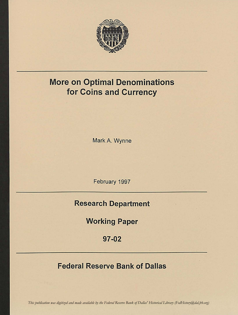

# More on Optimal Denominations for Coins and Currency

Mark A. Wynne

February 1997

# Research Department

Working Paper

97-02

# Federal Reserve Bank of Dallas

*This publication was digitized and made available by the Federal Reserve Bank of Dallas' Historical Library (FedHistory@dal.frb.org)*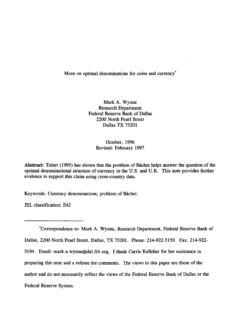# More on optimal denominations for coins and currency<sup>\*</sup>

Mark A. Wynne Research Departrnent Federal Reserve Bank of Dallas 2200 North Pearl Street Dallas TX 75201

> October, 1996 Revised: February 1997

Abstract: Telser (1995) has shown that the problem of Bâchet helps answer the question of the optimal denominational structure of currency in the U.S. and U.K. This note provides further evidence to support this claim using cross-country data.

Keywords: Currency denominations; problem of Bichet.

IEL classification: E42

\*Correspondence to: Mark A. Wynne, Research Department, Federal Reserve Bank of Dallas, 2200 North Pearl Street, Dallas, TX 75201. Phone: 214-922-5159. Fax: 214-922-5194. Email: mark.a.wynne@dal.frb.org. I thank Carrie Kelleher for her assistance in preparing this note and a referee for comments. The views in this paper are those of the author and do not necessarily reflect the views of the Federal Reserve Bank of Dallas or the Federal Reserve System.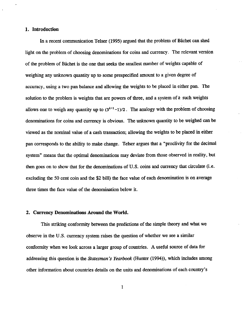## 1. Introduction

In a recent communication Telser (1995) argued that the problem of Bichet can shed light on the problem of choosing denominations for coins and currency. The relevant version of the problem of Bâchet is the one that seeks the smallest number of weights capable of weighing any unknown quantity up to some prespecified amount to a given degree of accuracy, using a two pan balance and allowing the weights to be placed in either pan. The solution to the problem is weights that are powers of three, and a system of  $k$  such weights allows one to weigh any quantity up to  $(3^{k+1}-1)/2$ . The analogy with the problem of choosing denominatiors for coins and currency is obvious. The unknown quantity to be weighed can be viewed as the nominal value of a cash transaction; allowing the weights to be placed in either pan corresponds to the ability to make change. Tetser argues that a "proclivity for the decimal system" means that the optimal denominations rnay deviate from those observed in reality, but then goes on to show that for the denominations of U.S. coins and currency that circulate (i.e. excluding the 50 cent coin and the \$2 bill) the face value of each denomination is on average three times the face value of the denomination below it.

#### 2. Currency Denominations Around the World.

This striking conformity between the predictions of the simple theory and what we observe in the U.S. currency system raises the question of whether we see a similar conformity when we look across a larger group of countries. A useful source of data for addressing this question is the Statesman's Yearbook (Hunter (1994)), which includes among other information about countries details on the units and denominations of each country's

 $\mathbf{I}$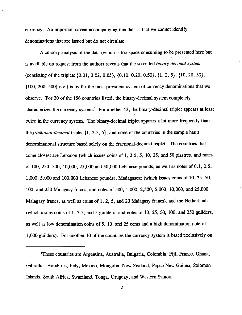currency. An important caveat accompanying this data is that we cannot identify denominations that are issued but do not circulate.

A cursory analysis of the data (which is too space consuming to be presented here but is available on request from the author) reveals that the so called *binary-decimal system* (consisting of the triplets  $\{0.01, 0.02, 0.05\}$ ,  $\{0.10, 0.20, 0.50\}$ ,  $\{1, 2, 5\}$ ,  $\{10, 20, 50\}$ , {100, 20O, 500} etc.) is by far the most prevalent system of currency denominations that we observe. For 20 of the 156 countries listed, the binary-decimal system completely characterizes the currency system.<sup>1</sup> For another 42, the binary-decimal triplet appears at least twice in the currency system. The binary-decimal triplet appears a lot more frequently than the *fractional-decimal* triplet  $\{1, 2.5, 5\}$ , and none of the countries in the sample has a denominational structure based solely on the fractional-decimal triplet. The countries that come closest are Lebanon (which issues coins of 1,2.5, 5,10, 25, and 50 piastres, and notes of 100, 250, 500, 10,000, 25,000 and 50,000 Lebanese pounds, as well as notes of0.1, 0.5, 1,000, 5,000 and 100,000 Lebanese pounds), Madagascar (which issues coins of 10, 25, 50, 100, and 250 Malagasy francs, and notes of 500, 1,000, 2,500, 5,000, 10,000, and 25,000 Malagasy francs, as well as coins of 1, 2, 5, and 20 Malagasy ftancs), and the Netherlands (which issues coins of l, 2.5, and 5 guilders, and notes of 10, 25, 50, 100, and 250 guilders, as well as low denomination coins of 5, 10, and 25 cents and a high denomination note of 1,000 guilders). For another 10 of the countries the currency system is based exclusively on

<sup>&</sup>lt;sup>1</sup>These countries are Argentina, Australia, Bulgaria, Colombia, Fiji, France, Ghana, Gibraltar, Honduras, Italy, Mexico, Mongolia, New Zealand, Papua New Guinea, Solomon Islands, South Africa, Swaziland, Tonga, Uruguay, and Western Samoa.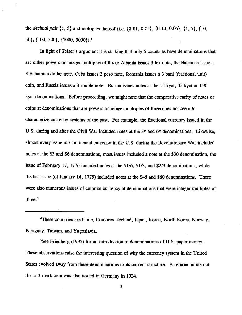the *decimal pair*  $\{1, 5\}$  and multiples thereof (i.e.  $\{0.01, 0.05\}$ ,  $\{0.10, 0.05\}$ ,  $\{1, 5\}$ ,  $\{10, 0.05\}$ s0), {100, s00}, {1000, 50oo}).,

In light of Telser's argument it is striking that only 5 countries have denominations that are either powers or integer multiples of three: Albania issues 3 lek note, the Bahamas issue a 3 Bahamian dollar note, Cuba issues 3 peso note, Romania issues a 3 bani (fractional unit) coin, and Russia issues a 3 rouble note. Burma issues notes at the 15 kyat, 45 kyat and 90 kyat denominations. Before proceeding, we might note that the comparative rarity of notes or coins at denominations that are powers or integer multiples of three does not seem to characterize currency systems of the past. For example, the fractional currency issued in the U.S. during and after the Civil War included notes at the 3¢ and 6¢ denominations. Likewise, almost every issue of Continental currency in the U.S. during the Revolutionary War included notes at the \$3 and \$6 denominations, most issues included a note at the \$30 denomination, the issue of February 17, 1776 included notes at the \$1/6, \$1/3, and \$2/3 denominations, while the last issue (of January 14, 1779) included notes at the \$45 and \$60 denoninations. There were also numerous issues of colonial currency at denominations that were integer multiples of three. $3$ 

<sup>2</sup>These countries are Chile, Comoros, Iceland, Japan, Korea, North Korea, Norway, Paraguay, Taiwan, and Yugoslavia.

<sup>3</sup>See Friedberg (1995) for an introduction to denominations of U.S. paper money. These observations raise the interesting question of why the currency system in the United States evolved away from these denominations to its current structure. A referee points out that a 3-mark coin was also issued in Germany in 1924.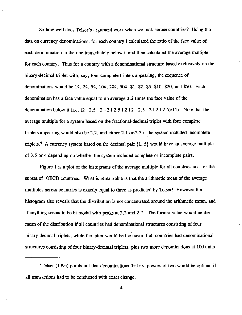So how well does Telser's argument work when we look across countries? Using the data on currency denominatiors, for each country I calculated the ratio of the face value of each denomination to the one immediately below it and then calculated the average multiple for each country. Thus for a country with a denominational structure based exclusively on the binary-decimal triplet with, say, four complete triplets appearing, the sequence of denominations would be 1c, 2c, 5c, 10c, 20c, 50c, \$1, \$2, \$5, \$10, \$20, and \$50. Each denomination has a face value equal to on average 2.2 times the face value of the denomination below it (i.e.  $(2+2.5+2+2+2.5+2+2+2.5+2+2+2.5)/11$ ). Note that the average multiple for a system based on the fractional-decimal triplet with four complete triplets appearing would also be 2.2, and either 2.1 or 2.3 if the system included incomplete triplets.<sup>4</sup> A currency system based on the decimal pair  $\{1, 5\}$  would have an average multiple of 3.5 or 4 depending on whether the system included complete or incomplete pairs.

Figure I is a plot of the histograms of the average multiple for all countries and for the subset of OECD countries. What is remarkable is that the arithmetic mean of the average multiples across countries is exactly equal to three as predicted by Telser! However the histogram also reveals that the distribution is not concentrated around the arithmetic mean, and if anything seems to be bi-modal with peaks at  $2.2$  and  $2.7$ . The former value would be the mean of the distribution if all countries had denominational structures consisting of four binary-decimal triplets, while the latter would be the mean if all countries had denominational structures consisting of four binary-decimal triplets, plus two more denominations at 100 units

<sup>4</sup>Telser (1995) points out that denominations that are powers of two would be optimal if all transactions had to be conducted with exact chanee.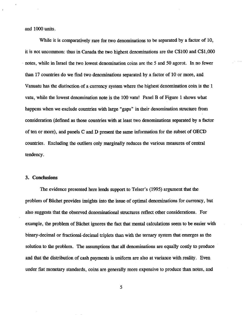and 1000 units.

While it is comparatively rare for two denominations to be separated by a factor of 10, it is not uncommon: thus in Canada the two highest denominations are the C\$100 and C\$1,000 notes, while in Israel the two lowest denomination coins are the 5 and 50 agorot. In no fewer than 17 countries do we find two denominations separated by a factor of l0 or more, and Vanuatu has the distinction of a currency system wherc the highest denomination coin is the 1 vatu, while the lowest denomination note is the 100 vatu! Panel B of Figure I shows what happens when we exclude countries with large "gaps" in their denomination structure from consideration (defined as those countries with at least two denominations separated by a factor of ten or more), and panels C and D present the same information for the subset of OECD countries. Excluding the outliers only marginally reduces the various measures of central tendency.

### 3. Conclusions

The evidence presented here lends support to Telser's (1995) argument that the problem of Bâchet provides insights into the issue of optimal denominations for currency, but also suggests that the observed denominational structures reflect other considerations. For example, the problem of Bichet ignores the fact that mental calculations seem to be easier with binary-decimal or fractional-decimal triplets than with the ternary system that emerges as the solution to the problem. The assumptions that all denominations are equally costly to produce and that the distribution of cash payments is uniform are also at variance with reality. Even under fiat monetary standards, coins are generally more expensive to produce than notes, and

5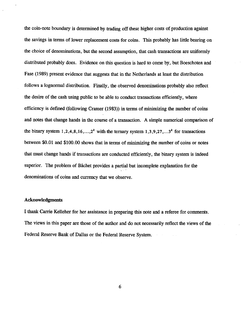the coin-note boundary is determined by trading off these higher costs of production against the savings in terms of lower replacement costs"for coins. This probably has little bearing on the choice of denominations, but the second assumption, that cash transactions are uniformly distributed probably does. Evidence on this question is hard to come by, but Boeschoten and Fase (1989) present evidence that suggests that in the Netherlands at least the distribution follows a lognormal distribution. Finally, the observed denominations probably also reflect the desire of the cash using public to be able to conduct transactions efFrciently, where efftciency is defined (following Cramer (1983)) in terms of minimizing the number of coins and notes that change hands in rhe course of a transaction. A simple numerical comparison of the binary system 1,2,4,8,16,...,2<sup>k</sup> with the ternary system 1,3,9,27,...3<sup>k</sup> for transactions between \$0.01 and \$100.00 shows that in terms of minimizing the number of coins or notes that must change hands if transactions are conducted efficiently, the binary system is indeed superior. The problem of Bâchet provides a partial but incomplete explanation for the denominations of coins and currencv that we observe.

#### Acknowledgments

I thank Carrie Kelleher for her assistance in preparing this note and a referee for comments. The views in this paper are those of the author and do not necessarily reflect the views of the Federal Reserve Bank of Dallas or the Federal Reserve Svstem.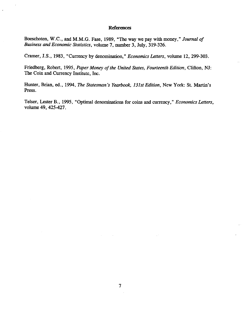#### References

Boeschoten, W.C., and M.M.G. Fase, 1989, "The way we pay with money," Journal of Business and Economic Statistics, volume 7, number 3, July, 319-326.

 $\bar{z}$ 

Cramer, J.S., 1983, 'Currency by denomination," Economics Letters, volume 12,299-303.

Friedberg, Robert, 1995, Paper Money of the United States, Fourteenth Edition, Clifton, NJ: The Coin and Currency Institute, Inc.

Hunter, Brian, ed., 1994, The Statesman's Yearbook, 131st Edition, New York: St. Martin's Press.

Telser, Lester B., 1995, "Optimal denominations for coins and currency," Economics Letters, volume 49, 425-427.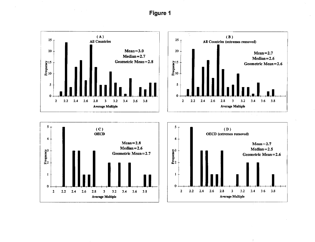Figure

 $\mathcal{F}^{\text{max}}_{\text{max}}$  and



 $\mathcal{L}^{\mathcal{L}}$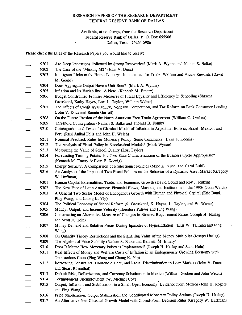#### RESEARCH PAPERS OF THE RESEARCH DEPARTMENT FEDERAL RESERVE BANK OF DALLAS

#### Available, at no charge, from the Research Department Federal Reserve Bank of Dallas, P. O. Bor 655906 Dallas, Texas 75265-5906

Please check the titles of the Research Papers you would like to receive:

- 92OI Are Deep Recessions Followed by Strong Recoveries? (Mark A. Wynne and Nathan S. Balke)
- 9202 The Case of the "Missing M2" (John V. Duca)
- 9203 Immigrant Links to the Home Country: Implications for Trade, Welfare and Factor Rewards (David M. Gould)
- 9204 Does Aggregate Output Have a Unit Root? (Mark A. Wynne)
- 9205 Inflation and Its Variabiliry: A Note (Kenneth M. Emery)
- 9206 Budget Constrained Frontier Measures of Fiscal Equality and Efficiency in Schooling (Shawna Grosskopf, Kathy Hayes, Lori L. Taylor, William Weber)
- 9207 The Effects of Credit Availability, Nonbank Competition, and Tax Reform on Bank Consumer Lending (John V. Duca and Bormie Garrett)
- 9208 On the Future Erosion of the North American Free Trade Agreement (William C. Gruben)
- 9209 Threshold Cointegration (Nathan S. Balke and Thomas B. Fomby)
- 9210 Cointegration and Tests of a Classical Model of Inflation in Argentina, Bolivia, Brazil, Mexico, and Peru (Raul Anibal Feliz and John H. Welch)
- 92Il Nominal Feedback Rules for Monetary Policy: Some Comments (Evan F. Koenig)
- 9212 The Analysis of Fiscal Policy in Neoclassical Models<sup>1</sup> (Mark Wynne)
- 9213 Measuring the Value of School Quality (Lori Taylor)<br>9214 Forecasting Turning Points: Is a Two-State Character
- Forecasting Turning Points: Is a Two-State Characterization of the Business Cycle Appropriate? (Kenneth M. Emery & Evan F. Koenig)
- 9215 Energy Security: A Comparison of Protectionist Policies (Mine K. Yiicel and Carol Dahl)
- 92f6 An Analysis of the Impact of Two Fiscal Policies on the Behavior of a Dynamic Asset Market (Gregory W. Huffman)
- 9301 Human Capital Extemalities, Trade, and Econonic Growth (David Gould and Roy J. Ruffin)
- 93OZ The New Face of Latin America: Financial Flows, Markets, and Institutions in the 1990s (John Welch)
- 9303 A General Two Sector Model of Endogenous Growth with Human and Physical Capital (Eric Bond, Ping Wang, and Chong K. Yip)
- 9304 The Political Economy of School Reform (S. Grosskopf, K. Hayes, L. Taylor, and W. Weber)
- 9305 Money, Output, and Income Velocity (Theodore Palivos and Ping wang)
- 9306 Constructing an Altemative Measure of Changes in Reserve Requirement Ratios (Joseph H. Haslag and Scott E. Hein)
- 9307 Money Demand and Relative Prices During Episodes of Hyperinflation (Ellis W. Tallman and Ping Wang)
- 9308 On Quantity Theory Restrictions and the Signalling Value of the Money Multiplier (Joseph Haslag)
- 9309 The Algebra of Price Stability (Nathan S. Balke and Kenneth M. Emery)
- 9310 Does It Matter How Monetary Policy is Implemented? (Joseph H. Haslag and Scott Hein)
- 9311 Real Effects of Money and Welfare Costs of Inflation in an Endogenously Growing Economy with Transactions Costs (Ping Wang and Chong K. Yip)
- 9312 Borrowing Constraints, Household Debt, and Racial Discrimination in Loan Markets (John V. Duca and Stuart Rosenthal)
- 9313 Default Risk, Dollarization, and Currency Substitution in Mexico (William Gruben and John Welch)
- 9314 Technological Unemployment (W. Michael Cox)
- 9315 Output, Inflation, and Stabilization in a Small Open Economy: Evidence from Mexico (John H. Rogers and Ping Wang)
- 9316 Price Stabilization, Output Stabilization and Coordinated Monetary Policy Actions (Joseph H. Haslag)
- 9317 An Alternative Neo-Classical Growth Model with Closed-Form Decision Rules (Gregory W. Huffman)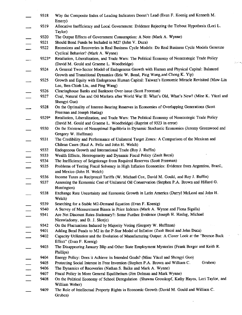|                                                                                                                                                                                                                                                                                                                                                                                                                          | 9318  | Why the Composite Index of Leading Indicators Doesn't Lead (Evan F. Koenig and Kenneth M.<br>Emery)         |
|--------------------------------------------------------------------------------------------------------------------------------------------------------------------------------------------------------------------------------------------------------------------------------------------------------------------------------------------------------------------------------------------------------------------------|-------|-------------------------------------------------------------------------------------------------------------|
|                                                                                                                                                                                                                                                                                                                                                                                                                          | 9319  | Allocative Inefficiency and Local Government: Evidence Rejecting the Tiebout Hypothesis (Lori L.<br>Taylor) |
|                                                                                                                                                                                                                                                                                                                                                                                                                          | 9320  | The Output Effects of Government Consumption: A Note (Mark A. Wynne)                                        |
|                                                                                                                                                                                                                                                                                                                                                                                                                          | 9321  | Should Bond Funds be Included in M2? (John V. Duca)                                                         |
|                                                                                                                                                                                                                                                                                                                                                                                                                          | 9322  | Recessions and Recoveries in Real Business Cycle Models: Do Real Business Cycle Models Generate             |
|                                                                                                                                                                                                                                                                                                                                                                                                                          |       | Cyclical Behavior? (Mark A. Wynne)                                                                          |
|                                                                                                                                                                                                                                                                                                                                                                                                                          | 9323* | Retaliation, Liberalization, and Trade Wars: The Political Economy of Nonstrategic Trade Policy             |
|                                                                                                                                                                                                                                                                                                                                                                                                                          |       | (David M. Gould and Graeme L. Woodbridge)                                                                   |
|                                                                                                                                                                                                                                                                                                                                                                                                                          | 9324  | A General Two-Sector Model of Endogenous Growth with Human and Physical Capital: Balanced                   |
|                                                                                                                                                                                                                                                                                                                                                                                                                          |       | Growth and Transitional Dynamics (Eric W. Bond, Ping Wang, and Chong K. Yip)                                |
|                                                                                                                                                                                                                                                                                                                                                                                                                          | 9325  | Growth and Equity with Endogenous Human Capital: Taiwan's Economic Miracle Revisited (Maw-Lin               |
|                                                                                                                                                                                                                                                                                                                                                                                                                          |       | Lee, Ben-Chieh Liu, and Ping Wang)                                                                          |
|                                                                                                                                                                                                                                                                                                                                                                                                                          | 9326  | Clearinghouse Banks and Banknote Over-issue (Scott Freeman)                                                 |
|                                                                                                                                                                                                                                                                                                                                                                                                                          | 9327  | Coal, Natural Gas and Oil Markets after World War II: What's Old, What's New? (Mine K. Yücel and            |
|                                                                                                                                                                                                                                                                                                                                                                                                                          |       | Shengyi Guo)                                                                                                |
|                                                                                                                                                                                                                                                                                                                                                                                                                          | 9328  | On the Optimality of Interest-Bearing Reserves in Economies of Overlapping Generations (Scott               |
|                                                                                                                                                                                                                                                                                                                                                                                                                          |       | Freeman and Joseph Haslag)                                                                                  |
|                                                                                                                                                                                                                                                                                                                                                                                                                          | 9329* | Retaliation, Liberalization, and Trade Wars: The Political Economy of Nonstrategic Trade Policy             |
|                                                                                                                                                                                                                                                                                                                                                                                                                          |       | (David M. Gould and Graeme L. Woodbridge) (Reprint of 9323 in error)                                        |
|                                                                                                                                                                                                                                                                                                                                                                                                                          | 9330  | On the Existence of Nonoptimal Equilibria in Dynamic Stochastic Economies (Jeremy Greenwood and             |
|                                                                                                                                                                                                                                                                                                                                                                                                                          |       | Gregory W. Huffman)                                                                                         |
|                                                                                                                                                                                                                                                                                                                                                                                                                          | 9331  | The Credibility and Performance of Unilateral Target Zones: A Comparison of the Mexican and                 |
|                                                                                                                                                                                                                                                                                                                                                                                                                          |       | Chilean Cases (Raul A. Feliz and John H. Welch)                                                             |
|                                                                                                                                                                                                                                                                                                                                                                                                                          | 9332  | Endogenous Growth and International Trade (Roy J. Ruffin)                                                   |
|                                                                                                                                                                                                                                                                                                                                                                                                                          | 9333  | Wealth Effects, Heterogeneity and Dynamic Fiscal Policy (Zsolt Becsi)                                       |
|                                                                                                                                                                                                                                                                                                                                                                                                                          | 9334  | The Inefficiency of Seigniorage from Required Reserves (Scott Freeman)                                      |
|                                                                                                                                                                                                                                                                                                                                                                                                                          | 9335  | Problems of Testing Fiscal Solvency in High Inflation Economies: Evidence from Argentina, Brazil,           |
|                                                                                                                                                                                                                                                                                                                                                                                                                          |       | and Mexico (John H. Welch)                                                                                  |
|                                                                                                                                                                                                                                                                                                                                                                                                                          | 9336  | Income Taxes as Reciprocal Tariffs (W. Michael Cox, David M. Gould, and Roy J. Ruffin)                      |
|                                                                                                                                                                                                                                                                                                                                                                                                                          | 9337  | Assessing the Economic Cost of Unilateral Oil Conservation (Stephen P.A. Brown and Hillard G.               |
|                                                                                                                                                                                                                                                                                                                                                                                                                          |       | Huntington)                                                                                                 |
|                                                                                                                                                                                                                                                                                                                                                                                                                          | 9338  | Exchange Rate Uncertainty and Economic Growth in Latin America (Darryl McLeod and John H.                   |
|                                                                                                                                                                                                                                                                                                                                                                                                                          |       | Welch)                                                                                                      |
|                                                                                                                                                                                                                                                                                                                                                                                                                          | 9339  | Searching for a Stable M2-Demand Equation (Evan F. Koenig)                                                  |
|                                                                                                                                                                                                                                                                                                                                                                                                                          | 9340  | A Survey of Measurement Biases in Price Indexes (Mark A. Wynne and Fiona Sigalla)                           |
|                                                                                                                                                                                                                                                                                                                                                                                                                          | 9341  | Are Net Discount Rates Stationary?: Some Further Evidence (Joseph H. Haslag, Michael                        |
|                                                                                                                                                                                                                                                                                                                                                                                                                          |       | Nieswiadomy, and D. J. Slottje)                                                                             |
|                                                                                                                                                                                                                                                                                                                                                                                                                          | 9342  | On the Fluctuations Induced by Majority Voting (Gregory W. Huffman)                                         |
|                                                                                                                                                                                                                                                                                                                                                                                                                          | 9401  | Adding Bond Funds to M2 in the P-Star Model of Inflation (Zsolt Becsi and John Duca)                        |
|                                                                                                                                                                                                                                                                                                                                                                                                                          | 9402  | Capacity-Utilization and the Evolution of Manufacturing Output: A Closer Look at the "Bounce-Back           |
|                                                                                                                                                                                                                                                                                                                                                                                                                          |       | Effect" (Evan F. Koenig)                                                                                    |
|                                                                                                                                                                                                                                                                                                                                                                                                                          | 9403  | The Disappearing January Blip and Other State Employment Mysteries (Frank Berger and Keith R.               |
|                                                                                                                                                                                                                                                                                                                                                                                                                          |       | Phillips)                                                                                                   |
|                                                                                                                                                                                                                                                                                                                                                                                                                          | 9404  | Energy Policy: Does it Achieve its Intended Goals? (Mine Yücel and Shengyi Guo)                             |
|                                                                                                                                                                                                                                                                                                                                                                                                                          | 9405  | Gruben)<br>Protecting Social Interest in Free Invention (Stephen P.A. Brown and William C.                  |
| $\begin{array}{c c c c c} \hline \textbf{1} & \textbf{1} & \textbf{1} & \textbf{1} & \textbf{1} & \textbf{1} & \textbf{1} & \textbf{1} & \textbf{1} & \textbf{1} & \textbf{1} & \textbf{1} & \textbf{1} & \textbf{1} & \textbf{1} & \textbf{1} & \textbf{1} & \textbf{1} & \textbf{1} & \textbf{1} & \textbf{1} & \textbf{1} & \textbf{1} & \textbf{1} & \textbf{1} & \textbf{1} & \textbf{1} & \textbf{1} & \textbf{1}$ | 9406  | The Dynamics of Recoveries (Nathan S. Balke and Mark A. Wynne)                                              |
|                                                                                                                                                                                                                                                                                                                                                                                                                          | 9407  | Fiscal Policy in More General Equilibriium (Jim Dolman and Mark Wynne)                                      |
|                                                                                                                                                                                                                                                                                                                                                                                                                          | 9408  | On the Political Economy of School Deregulation (Shawna Grosskopf, Kathy Hayes, Lori Taylor, and            |
|                                                                                                                                                                                                                                                                                                                                                                                                                          |       | William Weber)                                                                                              |
|                                                                                                                                                                                                                                                                                                                                                                                                                          | 9409  | The Role of Intellectual Property Rights in Economic Growth (David M. Gould and William C.                  |
|                                                                                                                                                                                                                                                                                                                                                                                                                          |       | Gruben)                                                                                                     |

 $\mathcal{A}^{\mathcal{A}}$ 

 $\frac{1}{2} \frac{1}{2} \frac{1}{2} \frac{1}{2} \frac{1}{2} \frac{1}{2}$ 

 $\frac{1}{\Delta} \frac{1}{\epsilon}$ 

 $\sim 10^{-11}$ 

 $\mathcal{C}$ 

 $\mathcal{A}^{\mathcal{A}}$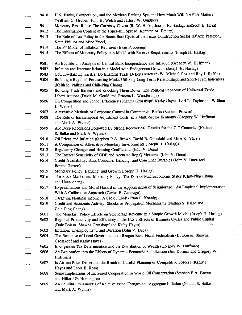9410 U.S. Banks, Competition, and the Mexican Banking System: How Much Will NAFTA Matter? (william C. Gruben, John H. Welch and Jeffery W. Gunther) 9411 Monetary Base Rules: The Currency Caveat (R. W. Hafer, Joseph H. Haslag, and Scott E. Hein) 9412 The Information Content of the Paper-Bill Spread (Kenneth M. Emery) 9413 The Role of Tax Policy in the Boom/Bust Cycle of the Texas Construction Sector (D'Ann Petersen, Keith Phillips and Mine Yücel) 9414 The P\* Model of Inflation, Revisited (Evan F. Koenig) 9415 The Effects of Monetary Policy in a Model with Reserve Requirements (Joseph H. Haslag) 9501 An Equilibrium Analysis of Central Bank Independence and Inflation (Gregory W. Hufftnan) 9502 Inflation and Intermediation in a Model with Endogenous Growth (Joseph H. Haslag) 9503 Country-Bashing Tariffs: Do Bilateral Trade Deficits Matter? (W. Michael Cox ard Roy J. Ruffin) 9504 Building a Regional Forecasting Model Utilizing Long-Term Relationships and Short-Term Indicators (Keith R. Phillips and Chih-Ping Chang) 9505 Building Trade Barriers and Knocking Them Down: The Political Economy of Unilateral Trade Liberalizations (David M. Gould and Graeme L. Woodbridge) 9506 On Competition and School Efficiency (Shawna Grosskopf, Kathy Hayes, Lori L. Taylor and William L. Weber) 9507 Alternative Methods of Corporate Control in Commercial Banks (Stephen Prowse) 9508 The Role of Intratemporal Adjustment Costs in a Multi-Sector Economy (Gregory W. Huffman and Mark A. Wynne) 9509 Are Deep Recessions Followed By Strong Recoveries? Results for the G-7 Countries (Nathan S. Balke and Mark A. Wynne) 9510 Oil Prices and Inflation (Stephen P.A. Brown, David B. Oppedahl and Mine K. Yücel) 9511 A Comparison of Altemative Monetary Environments (Joseph H. Haslag)) 9512 Regulatory Changes and Housing Coefficients (John V. Duca) 9513 The Interest Sensitivity of GDP and Accurate Reg Q Measures (John V. Duca) 9514 Credit Availability, Bank Consumer Lending, and Consumer Durables (John V. Duca and Bonnie Garrett) 9515 Monetary Policy, Banking, and Growth (Joseph H. Haslag) 9516 The Stock Market and Monetary Policy: The Role of Macroeconomic States (Chih-Ping Chang and Huan Zhang) 9517 Hyperinflations and Moral Hazard in the Appropriation of Seigniorage: An Empirical Implementation With A Calibration Approach (Carlos E. Zanzaga) 9518 Targeting Nominal Income: A Closer Look (Evan F. Koenig) 9519 Credit and Economic Activity: Shocks or Propagation Mechanism? (Nathan S. Balke and Chih-Ping Chang) 9601 The Monetary Policy Effects on Seignorage Revenue in a Simple Growth Model (Joseph H. Haslag) 9602 Regional Productivity and Efficiency in the U.S.: Effects of Business Cycles and Public Capital (Dale Boisso, Shawna Grosskopf and Kathy Hayes) 9603 Inflation, Unemployment, and Duration (John V. Duca) 9604 The Response of Local Govemments to Reagan-Bush Fiscal Federalism (D. Boisso, Shawna Grosskopf and Kathy Hayes) 9605 Endogenous Tax Determination and the Distribution of Wealth (Gregory W. Huffman) 9606 An Exploration into the Effects of Dynamic Economic Stabilization (Jim Dolmas and Gregory W. Huffman) 9607 Is Airline Price Dispersion the Result of Careflrl Plaruring or Competitive Forces? (Kathy J. Hayes and Leola B. Ross) 9608 Some Implications of Increased Cooperation in World Oil Conservation (Stephen P.A. Brown and Hillard G. Huntington) 9609 An Equilibrium Analysis of Relative Price Changes and Aggregate Inflation (Nathan S. Balke and Mark A. Wynne)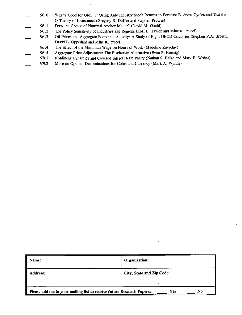- 9610 What's Good for GM...? Using Auto Industry Stock Returns to Forecast Business Cycles and Test the Q-Theory of Investment (Gregory R. Duffee and Stephen Prowse)
- 9611 Does the Choice of Nominal Anchor Matter? (David M. Gould)
- 9612 The Policy Sensitivity of Industries and Regions (Lori L. Taylor and Mine K. Yücel)
- 9613 Oil Prices and Aggregate Economic Activity: A Study of Eight OECD Countries (Stephen P.A. Brown, David B. Oppedahl and Mine K. Yücel)
- 9614 The Effect of the Minimum Wage on Hours of Work (Madeline Zavodny)
- 9615 Aggregate Price Adjusrment: The Fischerian Altemative (Evan F. Koenig)
- 9701 Nonlinear Dynamics and Covered Interest Rate Parity (Nathan S. Balke and Mark E. Wohar)
- 9702 More on Optimal Denominations for Coins and Currency (Mark A. Wynne)

| Name:                                                                              | Organization:             |  |
|------------------------------------------------------------------------------------|---------------------------|--|
| Address:                                                                           | City, State and Zip Code: |  |
| No<br>Yes<br>Please add me to your mailing list to receive future Research Papers: |                           |  |